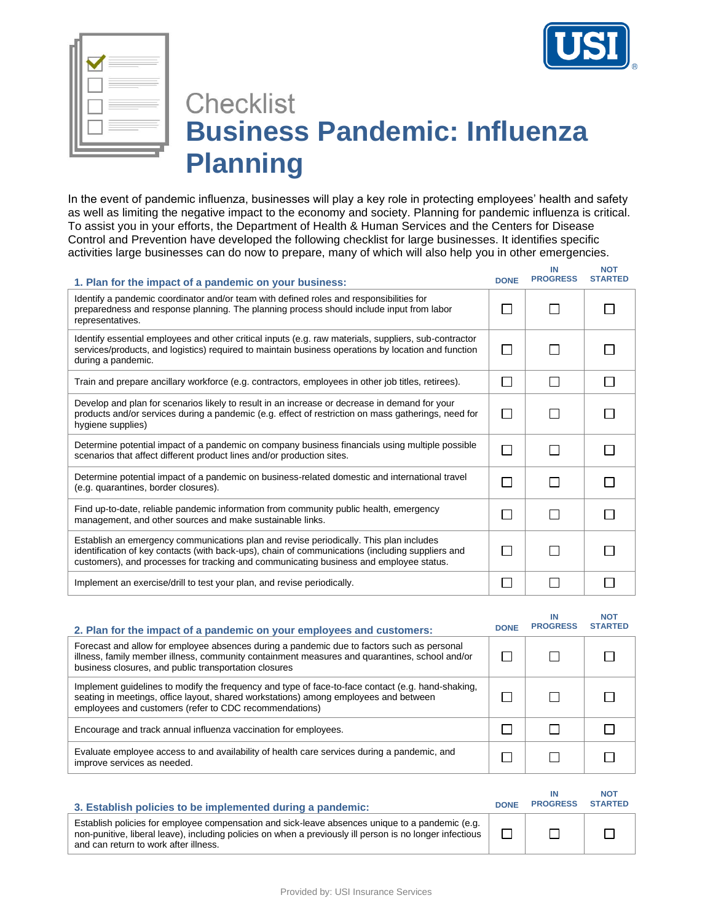

**IN** 

**NOT** 



## **Checklist Business Pandemic: Influenza Planning**

In the event of pandemic influenza, businesses will play a key role in protecting employees' health and safety as well as limiting the negative impact to the economy and society. Planning for pandemic influenza is critical. To assist you in your efforts, the Department of Health & Human Services and the Centers for Disease Control and Prevention have developed the following checklist for large businesses. It identifies specific activities large businesses can do now to prepare, many of which will also help you in other emergencies.

| 1. Plan for the impact of a pandemic on your business:                                                                                                                                                                                                                               | <b>DONE</b>  | <b>PROGRESS</b> | <b>STARTED</b> |
|--------------------------------------------------------------------------------------------------------------------------------------------------------------------------------------------------------------------------------------------------------------------------------------|--------------|-----------------|----------------|
| Identify a pandemic coordinator and/or team with defined roles and responsibilities for<br>preparedness and response planning. The planning process should include input from labor<br>representatives.                                                                              | $\mathsf{L}$ |                 |                |
| Identify essential employees and other critical inputs (e.g. raw materials, suppliers, sub-contractor<br>services/products, and logistics) required to maintain business operations by location and function<br>during a pandemic.                                                   | $\Box$       |                 |                |
| Train and prepare ancillary workforce (e.g. contractors, employees in other job titles, retirees).                                                                                                                                                                                   | $\Box$       |                 |                |
| Develop and plan for scenarios likely to result in an increase or decrease in demand for your<br>products and/or services during a pandemic (e.g. effect of restriction on mass gatherings, need for<br>hygiene supplies)                                                            | П            |                 |                |
| Determine potential impact of a pandemic on company business financials using multiple possible<br>scenarios that affect different product lines and/or production sites.                                                                                                            | $\Box$       | ΙI              |                |
| Determine potential impact of a pandemic on business-related domestic and international travel<br>(e.g. quarantines, border closures).                                                                                                                                               | П            |                 |                |
| Find up-to-date, reliable pandemic information from community public health, emergency<br>management, and other sources and make sustainable links.                                                                                                                                  | П            | П               |                |
| Establish an emergency communications plan and revise periodically. This plan includes<br>identification of key contacts (with back-ups), chain of communications (including suppliers and<br>customers), and processes for tracking and communicating business and employee status. | $\mathsf{L}$ |                 |                |
| Implement an exercise/drill to test your plan, and revise periodically.                                                                                                                                                                                                              |              |                 |                |

| 2. Plan for the impact of a pandemic on your employees and customers:                                                                                                                                                                                | <b>DONE</b> | ΙN<br><b>PROGRESS</b> | <b>NOT</b><br><b>STARTED</b> |
|------------------------------------------------------------------------------------------------------------------------------------------------------------------------------------------------------------------------------------------------------|-------------|-----------------------|------------------------------|
| Forecast and allow for employee absences during a pandemic due to factors such as personal<br>illness, family member illness, community containment measures and quarantines, school and/or<br>business closures, and public transportation closures |             |                       |                              |
| Implement guidelines to modify the frequency and type of face-to-face contact (e.g. hand-shaking,<br>seating in meetings, office layout, shared workstations) among employees and between<br>employees and customers (refer to CDC recommendations)  |             |                       |                              |
| Encourage and track annual influenza vaccination for employees.                                                                                                                                                                                      |             |                       |                              |
| Evaluate employee access to and availability of health care services during a pandemic, and<br>improve services as needed.                                                                                                                           |             |                       |                              |

| 3. Establish policies to be implemented during a pandemic:                                                                                                                                                                                           | <b>DONE</b> | ΙN<br><b>PROGRESS</b> | <b>NOT</b><br><b>STARTED</b> |
|------------------------------------------------------------------------------------------------------------------------------------------------------------------------------------------------------------------------------------------------------|-------------|-----------------------|------------------------------|
| Establish policies for employee compensation and sick-leave absences unique to a pandemic (e.g.<br>non-punitive, liberal leave), including policies on when a previously ill person is no longer infectious<br>and can return to work after illness. |             |                       |                              |